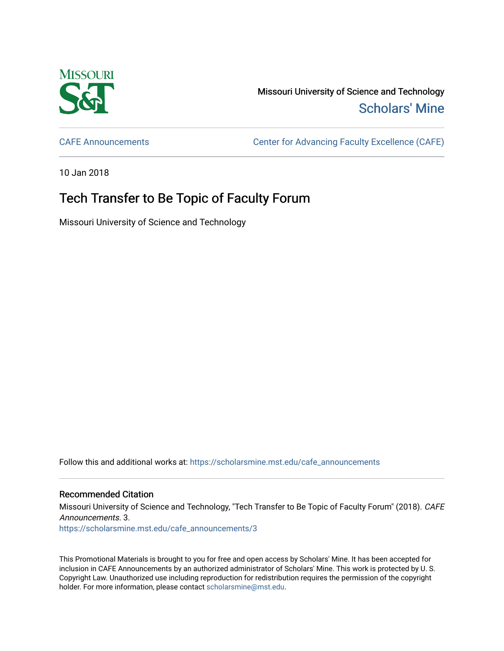

Missouri University of Science and Technology [Scholars' Mine](https://scholarsmine.mst.edu/) 

[CAFE Announcements](https://scholarsmine.mst.edu/cafe_announcements) [Center for Advancing Faculty Excellence \(CAFE\)](https://scholarsmine.mst.edu/cafe) 

10 Jan 2018

## Tech Transfer to Be Topic of Faculty Forum

Missouri University of Science and Technology

Follow this and additional works at: [https://scholarsmine.mst.edu/cafe\\_announcements](https://scholarsmine.mst.edu/cafe_announcements?utm_source=scholarsmine.mst.edu%2Fcafe_announcements%2F3&utm_medium=PDF&utm_campaign=PDFCoverPages) 

## Recommended Citation

Missouri University of Science and Technology, "Tech Transfer to Be Topic of Faculty Forum" (2018). CAFE Announcements. 3.

[https://scholarsmine.mst.edu/cafe\\_announcements/3](https://scholarsmine.mst.edu/cafe_announcements/3?utm_source=scholarsmine.mst.edu%2Fcafe_announcements%2F3&utm_medium=PDF&utm_campaign=PDFCoverPages) 

This Promotional Materials is brought to you for free and open access by Scholars' Mine. It has been accepted for inclusion in CAFE Announcements by an authorized administrator of Scholars' Mine. This work is protected by U. S. Copyright Law. Unauthorized use including reproduction for redistribution requires the permission of the copyright holder. For more information, please contact [scholarsmine@mst.edu.](mailto:scholarsmine@mst.edu)